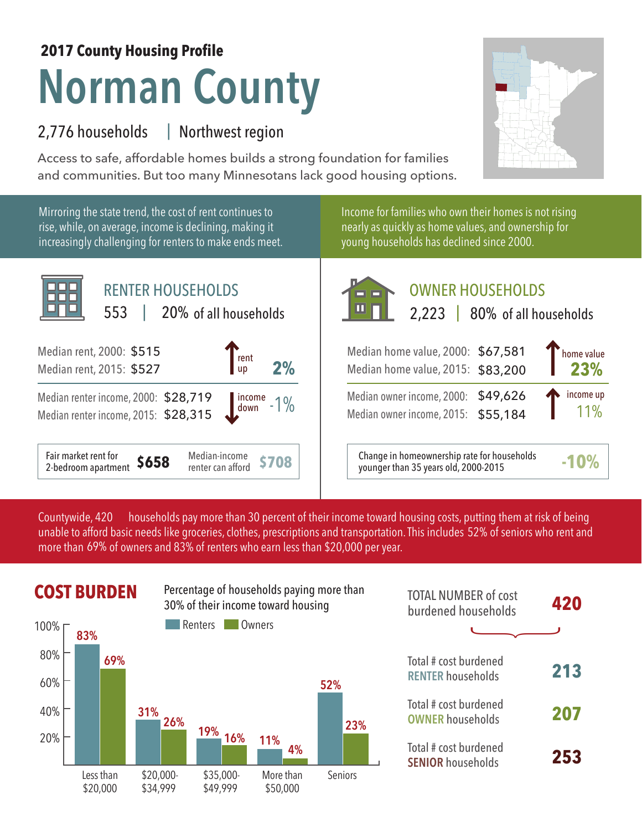## **Norman County 2017 County Housing Profile**

## 2,776 households Northwest region |

Access to safe, affordable homes builds a strong foundation for families and communities. But too many Minnesotans lack good housing options.

Mirroring the state trend, the cost of rent continues to rise, while, on average, income is declining, making it increasingly challenging for renters to make ends meet.



Income for families who own their homes is not rising nearly as quickly as home values, and ownership for young households has declined since 2000.



2,223 | 80% of all households of all households

| Median home value, 2000: \$67,581<br>Median home value, 2015: \$83,200     | home value<br>23%        |
|----------------------------------------------------------------------------|--------------------------|
| Median owner income, 2000: \$49,626<br>Median owner income, 2015: \$55,184 | income up<br>$\vert$ 11% |

**\$708** Change in homeownership rate for households younger than 35 years old, 2000-2015 **-10%**

households pay more than 30 percent of their income toward housing costs, putting them at risk of being unable to afford basic needs like groceries, clothes, prescriptions and transportation. This includes 52% of seniors who rent and more than 69% of owners and 83% of renters who earn less than \$20,000 per year. Countywide, 420



|                  | <b>COST BURDEN</b> |            |                | Percentage of households paying more than<br>30% of their income toward housing |         | <b>TOTAL NUMBER of cost</b><br>burdened households | 420 |
|------------------|--------------------|------------|----------------|---------------------------------------------------------------------------------|---------|----------------------------------------------------|-----|
| $100\%$ $\Gamma$ | 83%                |            | Renters        | Owners                                                                          |         |                                                    |     |
| $80\%$<br>60%    | 69%                |            |                |                                                                                 | 52%     | Total # cost burdened<br><b>RENTER households</b>  | 213 |
| 40%              |                    | 31%<br>26% | 19%            |                                                                                 | 23%     | Total # cost burdened<br><b>OWNER households</b>   | 207 |
| 20%              | l ess than         | \$20.000   | 16%<br>\$3500. | 11%<br>4%<br>More than                                                          | Seniors | Total # cost burdened<br><b>SENIOR households</b>  | 253 |